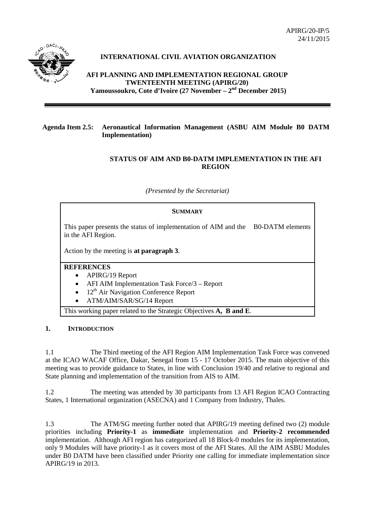

# **INTERNATIONAL CIVIL AVIATION ORGANIZATION**

**AFI PLANNING AND IMPLEMENTATION REGIONAL GROUP TWENTEENTH MEETING (APIRG/20) Yamoussoukro, Cote d'Ivoire (27 November – 2nd December 2015)**

# **Agenda Item 2.5: Aeronautical Information Management (ASBU AIM Module B0 DATM Implementation)**

# **STATUS OF AIM AND B0-DATM IMPLEMENTATION IN THE AFI REGION**

*(Presented by the Secretariat)*

#### **SUMMARY**

This paper presents the status of implementation of AIM and the B0-DATM elements in the AFI Region.

Action by the meeting is **at paragraph 3**.

#### **REFERENCES**

- APIRG/19 Report
- AFI AIM Implementation Task Force/3 Report
- $12<sup>th</sup>$  Air Navigation Conference Report
- ATM/AIM/SAR/SG/14 Report

This working paper related to the Strategic Objectives **A, B and E**.

# **1. INTRODUCTION**

1.1 The Third meeting of the AFI Region AIM Implementation Task Force was convened at the ICAO WACAF Office, Dakar, Senegal from 15 - 17 October 2015. The main objective of this meeting was to provide guidance to States, in line with Conclusion 19/40 and relative to regional and State planning and implementation of the transition from AIS to AIM.

1.2 The meeting was attended by 30 participants from 13 AFI Region ICAO Contracting States, 1 International organization (ASECNA) and 1 Company from Industry, Thales.

1.3 The ATM/SG meeting further noted that APIRG/19 meeting defined two (2) module priorities including **Priority-1** as **immediate** implementation and **Priority-2 recommended** implementation. Although AFI region has categorized all 18 Block-0 modules for its implementation, only 9 Modules will have priority-1 as it covers most of the AFI States. All the AIM ASBU Modules under B0 DATM have been classified under Priority one calling for immediate implementation since APIRG/19 in 2013.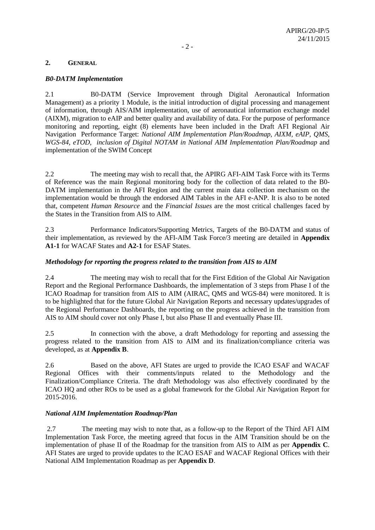# **2. GENERAL**

# *B0-DATM Implementation*

2.1 B0-DATM (Service Improvement through Digital Aeronautical Information Management) as a priority 1 Module, is the initial introduction of digital processing and management of information, through AIS/AIM implementation, use of aeronautical information exchange model (AIXM), migration to eAIP and better quality and availability of data. For the purpose of performance monitoring and reporting, eight (8) elements have been included in the Draft AFI Regional Air Navigation Performance Target: *National AIM Implementation Plan/Roadmap, AIXM, eAIP, QMS, WGS-84, eTOD, inclusion of Digital NOTAM in National AIM Implementation Plan/Roadmap* and implementation of the SWIM Concept

2.2 The meeting may wish to recall that, the APIRG AFI-AIM Task Force with its Terms of Reference was the main Regional monitoring body for the collection of data related to the B0- DATM implementation in the AFI Region and the current main data collection mechanism on the implementation would be through the endorsed AIM Tables in the AFI e-ANP. It is also to be noted that, competent *Human Resource* and the *Financial Issues* are the most critical challenges faced by the States in the Transition from AIS to AIM.

2.3 Performance Indicators/Supporting Metrics, Targets of the B0-DATM and status of their implementation, as reviewed by the AFI-AIM Task Force/3 meeting are detailed in **Appendix A1-1** for WACAF States and **A2-1** for ESAF States.

# *Methodology for reporting the progress related to the transition from AIS to AIM*

2.4 The meeting may wish to recall that for the First Edition of the Global Air Navigation Report and the Regional Performance Dashboards, the implementation of 3 steps from Phase I of the ICAO Roadmap for transition from AIS to AIM (AIRAC, QMS and WGS-84) were monitored. It is to be highlighted that for the future Global Air Navigation Reports and necessary updates/upgrades of the Regional Performance Dashboards, the reporting on the progress achieved in the transition from AIS to AIM should cover not only Phase I, but also Phase II and eventually Phase III.

2.5 In connection with the above, a draft Methodology for reporting and assessing the progress related to the transition from AIS to AIM and its finalization/compliance criteria was developed, as at **Appendix B**.

2.6 Based on the above, AFI States are urged to provide the ICAO ESAF and WACAF Regional Offices with their comments/inputs related to the Methodology and the Finalization/Compliance Criteria. The draft Methodology was also effectively coordinated by the ICAO HQ and other ROs to be used as a global framework for the Global Air Navigation Report for 2015-2016.

#### *National AIM Implementation Roadmap/Plan*

2.7 The meeting may wish to note that, as a follow-up to the Report of the Third AFI AIM Implementation Task Force, the meeting agreed that focus in the AIM Transition should be on the implementation of phase II of the Roadmap for the transition from AIS to AIM as per **Appendix C**. AFI States are urged to provide updates to the ICAO ESAF and WACAF Regional Offices with their National AIM Implementation Roadmap as per **Appendix D**.